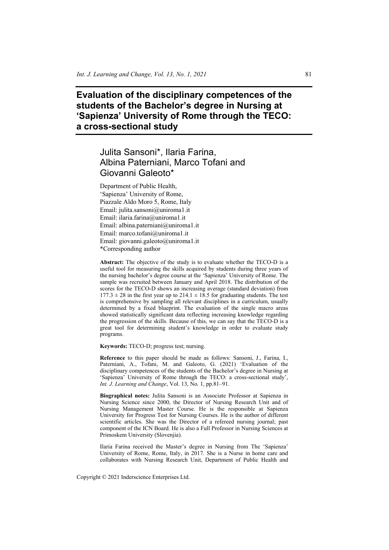**Evaluation of the disciplinary competences of the students of the Bachelor's degree in Nursing at 'Sapienza' University of Rome through the TECO: a cross-sectional study** 

# Julita Sansoni\*, Ilaria Farina, Albina Paterniani, Marco Tofani and Giovanni Galeoto\*

Department of Public Health, 'Sapienza' University of Rome, Piazzale Aldo Moro 5, Rome, Italy Email: julita.sansoni@uniroma1.it Email: ilaria.farina@uniroma1.it Email: albina.paterniani@uniroma1.it Email: marco.tofani@uniroma1.it Email: giovanni.galeoto@uniroma1.it \*Corresponding author

**Abstract:** The objective of the study is to evaluate whether the TECO-D is a useful tool for measuring the skills acquired by students during three years of the nursing bachelor's degree course at the 'Sapienza' University of Rome. The sample was recruited between January and April 2018. The distribution of the scores for the TECO-D shows an increasing average (standard deviation) from  $177.3 \pm 28$  in the first year up to  $214.1 \pm 18.5$  for graduating students. The test is comprehensive by sampling all relevant disciplines in a curriculum, usually determined by a fixed blueprint. The evaluation of the single macro areas showed statistically significant data reflecting increasing knowledge regarding the progression of the skills. Because of this, we can say that the TECO-D is a great tool for determining student's knowledge in order to evaluate study programs.

**Keywords:** TECO-D; progress test; nursing.

**Reference** to this paper should be made as follows: Sansoni, J., Farina, I., Paterniani, A., Tofani, M. and Galeoto, G. (2021) 'Evaluation of the disciplinary competences of the students of the Bachelor's degree in Nursing at 'Sapienza' University of Rome through the TECO: a cross-sectional study', *Int. J. Learning and Change*, Vol. 13, No. 1, pp.81–91.

**Biographical notes:** Julita Sansoni is an Associate Professor at Sapienza in Nursing Science since 2000, the Director of Nursing Research Unit and of Nursing Management Master Course. He is the responsible at Sapienza University for Progress Test for Nursing Courses. He is the author of different scientific articles. She was the Director of a refereed nursing journal; past component of the ICN Board. He is also a Full Professor in Nursing Sciences at Primoskem University (Slovenjia).

Ilaria Farina received the Master's degree in Nursing from The 'Sapienza' University of Rome, Rome, Italy, in 2017. She is a Nurse in home care and collaborates with Nursing Research Unit, Department of Public Health and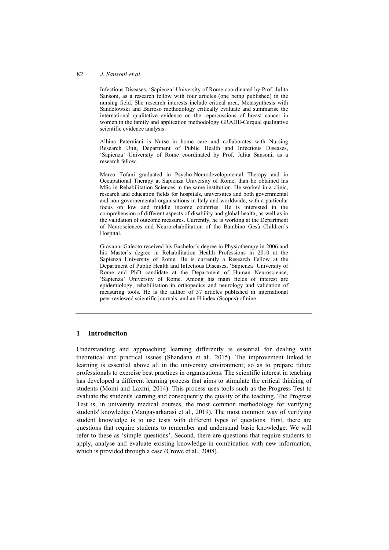#### 82 *J. Sansoni et al.*

Infectious Diseases, 'Sapienza' University of Rome coordinated by Prof. Julita Sansoni, as a research fellow with four articles (one being published) in the nursing field. She research interests include critical area, Metasynthesis with Sandelowski and Barroso methodology critically evaluate and summarise the international qualitative evidence on the repercussions of breast cancer in women in the family and application methodology GRADE-Cerqual qualitative scientific evidence analysis.

Albina Paterniani is Nurse in home care and collaborates with Nursing Research Unit, Department of Public Health and Infectious Diseases, 'Sapienza' University of Rome coordinated by Prof. Julita Sansoni, as a research fellow.

Marco Tofani graduated in Psycho-Neurodevelopmental Therapy and in Occupational Therapy at Sapienza University of Rome, than he obtained his MSc in Rehabilitation Sciences in the same institution. He worked in a clinic, research and education fields for hospitals, universities and both governmental and non-governemental organisations in Italy and worldwide, with a particular focus on low and middle income countries. He is interested in the comprehension of different aspects of disability and global health, as well as in the validation of outcome measures. Currently, he is working at the Department of Neurosciences and Neurorehabilitation of the Bambino Gesù Children's Hospital.

Giovanni Galeoto received his Bachelor's degree in Physiotherapy in 2006 and his Master's degree in Rehabilitation Health Professions in 2010 at the Sapienza University of Rome. He is currently a Research Fellow at the Department of Public Health and Infectious Diseases, 'Sapienza' University of Rome and PhD candidate at the Department of Human Neuroscience, 'Sapienza' University of Rome. Among his main fields of interest are epidemiology, rehabilitation in orthopedics and neurology and validation of measuring tools. He is the author of 37 articles published in international peer-reviewed scientific journals, and an H index (Scopus) of nine.

# **1 Introduction**

Understanding and approaching learning differently is essential for dealing with theoretical and practical issues (Shandana et al., 2015). The improvement linked to learning is essential above all in the university environment; so as to prepare future professionals to exercise best practices in organisations. The scientific interest in teaching has developed a different learning process that aims to stimulate the critical thinking of students (Momi and Laxmi, 2014). This process uses tools such as the Progress Test to evaluate the student's learning and consequently the quality of the teaching. The Progress Test is, in university medical courses, the most common methodology for verifying students' knowledge (Mangayarkarasi et al., 2019). The most common way of verifying student knowledge is to use tests with different types of questions. First, there are questions that require students to remember and understand basic knowledge. We will refer to these as 'simple questions'. Second, there are questions that require students to apply, analyse and evaluate existing knowledge in combination with new information, which is provided through a case (Crowe et al., 2008).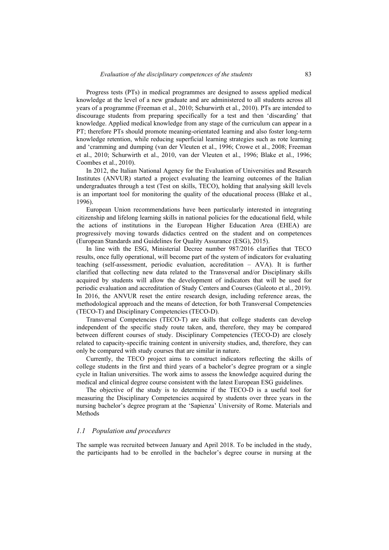Progress tests (PTs) in medical programmes are designed to assess applied medical knowledge at the level of a new graduate and are administered to all students across all years of a programme (Freeman et al., 2010; Schurwirth et al., 2010). PTs are intended to discourage students from preparing specifically for a test and then 'discarding' that knowledge. Applied medical knowledge from any stage of the curriculum can appear in a PT; therefore PTs should promote meaning-orientated learning and also foster long-term knowledge retention, while reducing superficial learning strategies such as rote learning and 'cramming and dumping (van der Vleuten et al., 1996; Crowe et al., 2008; Freeman et al., 2010; Schurwirth et al., 2010, van der Vleuten et al., 1996; Blake et al., 1996; Coombes et al., 2010).

In 2012, the Italian National Agency for the Evaluation of Universities and Research Institutes (ANVUR) started a project evaluating the learning outcomes of the Italian undergraduates through a test (Test on skills, TECO), holding that analysing skill levels is an important tool for monitoring the quality of the educational process (Blake et al., 1996).

European Union recommendations have been particularly interested in integrating citizenship and lifelong learning skills in national policies for the educational field, while the actions of institutions in the European Higher Education Area (EHEA) are progressively moving towards didactics centred on the student and on competences (European Standards and Guidelines for Quality Assurance (ESG), 2015).

In line with the ESG, Ministerial Decree number 987/2016 clarifies that TECO results, once fully operational, will become part of the system of indicators for evaluating teaching (self-assessment, periodic evaluation, accreditation – AVA). It is further clarified that collecting new data related to the Transversal and/or Disciplinary skills acquired by students will allow the development of indicators that will be used for periodic evaluation and accreditation of Study Centers and Courses (Galeoto et al., 2019). In 2016, the ANVUR reset the entire research design, including reference areas, the methodological approach and the means of detection, for both Transversal Competencies (TECO-T) and Disciplinary Competencies (TECO-D).

Transversal Competencies (TECO-T) are skills that college students can develop independent of the specific study route taken, and, therefore, they may be compared between different courses of study. Disciplinary Competencies (TECO-D) are closely related to capacity-specific training content in university studies, and, therefore, they can only be compared with study courses that are similar in nature.

Currently, the TECO project aims to construct indicators reflecting the skills of college students in the first and third years of a bachelor's degree program or a single cycle in Italian universities. The work aims to assess the knowledge acquired during the medical and clinical degree course consistent with the latest European ESG guidelines.

The objective of the study is to determine if the TECO-D is a useful tool for measuring the Disciplinary Competencies acquired by students over three years in the nursing bachelor's degree program at the 'Sapienza' University of Rome. Materials and Methods

#### *1.1 Population and procedures*

The sample was recruited between January and April 2018. To be included in the study, the participants had to be enrolled in the bachelor's degree course in nursing at the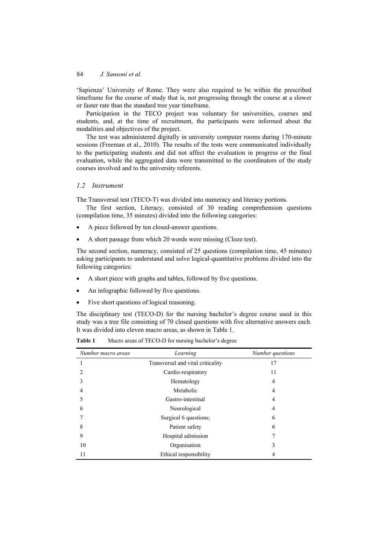'Sapienza' University of Rome. They were also required to be within the prescribed timeframe for the course of study that is, not progressing through the course at a slower or faster rate than the standard tree year timeframe.

Participation in the TECO project was voluntary for universities, courses and students, and, at the time of recruitment, the participants were informed about the modalities and objectives of the project.

The test was administered digitally in university computer rooms during 170-minute sessions (Freeman et al., 2010). The results of the tests were communicated individually to the participating students and did not affect the evaluation in progress or the final evaluation, while the aggregated data were transmitted to the coordinators of the study courses involved and to the university referents.

## *1.2 Instrument*

The Transversal test (TECO-T) was divided into numeracy and literacy portions.

The first section, Literacy, consisted of 30 reading comprehension questions (compilation time, 35 minutes) divided into the following categories:

- A piece followed by ten closed-answer questions.
- A short passage from which 20 words were missing (Cloze test).

The second section, numeracy, consisted of 25 questions (compilation time, 45 minutes) asking participants to understand and solve logical-quantitative problems divided into the following categories:

- A short piece with graphs and tables, followed by five questions.
- An infographic followed by five questions.
- Five short questions of logical reasoning.

The disciplinary test (TECO-D) for the nursing bachelor's degree course used in this study was a tree file consisting of 70 closed questions with five alternative answers each. It was divided into eleven macro areas, as shown in Table 1.

| Number macro areas | Learning                          | Number questions |
|--------------------|-----------------------------------|------------------|
|                    | Transversal and vital criticality | 17               |
|                    | Cardio-respiratory                | 11               |
|                    | Hematology                        | 4                |
|                    | Metabolic                         | 4                |
|                    | Gastro-intestinal                 | 4                |
| 6                  | Neurological                      | 4                |
|                    | Surgical 6 questions;             | 6                |
| 8                  | Patient safety                    | 6                |
| 9                  | Hospital admission                | 7                |
| 10                 | Organisation                      |                  |
|                    | Ethical responsibility            |                  |

**Table 1** Macro areas of TECO-D for nursing bachelor's degree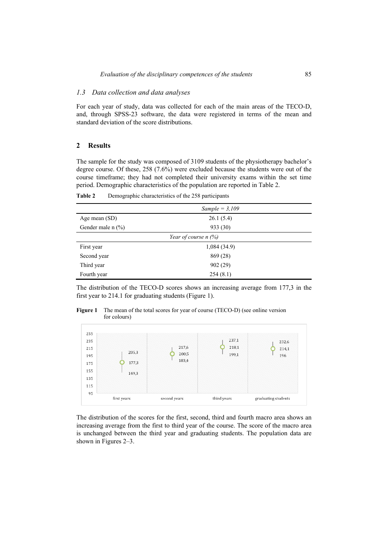### *1.3 Data collection and data analyses*

For each year of study, data was collected for each of the main areas of the TECO-D, and, through SPSS-23 software, the data were registered in terms of the mean and standard deviation of the score distributions.

#### **2 Results**

The sample for the study was composed of 3109 students of the physiotherapy bachelor's degree course. Of these, 258 (7.6%) were excluded because the students were out of the course timeframe; they had not completed their university exams within the set time period. Demographic characteristics of the population are reported in Table 2.

|                        | Sample = $3,109$ |  |  |
|------------------------|------------------|--|--|
| Age mean (SD)          | 26.1(5.4)        |  |  |
| Gender male $n$ (%)    | 933 (30)         |  |  |
| Year of course $n$ (%) |                  |  |  |
| First year             | 1,084(34.9)      |  |  |
| Second year            | 869 (28)         |  |  |
| Third year             | 902(29)          |  |  |
| Fourth year            | 254(8.1)         |  |  |

**Table 2** Demographic characteristics of the 258 participants

The distribution of the TECO-D scores shows an increasing average from 177,3 in the first year to 214.1 for graduating students (Figure 1).

**Figure 1** The mean of the total scores for year of course (TECO-D) (see online version for colours)



The distribution of the scores for the first, second, third and fourth macro area shows an increasing average from the first to third year of the course. The score of the macro area is unchanged between the third year and graduating students. The population data are shown in Figures 2–3.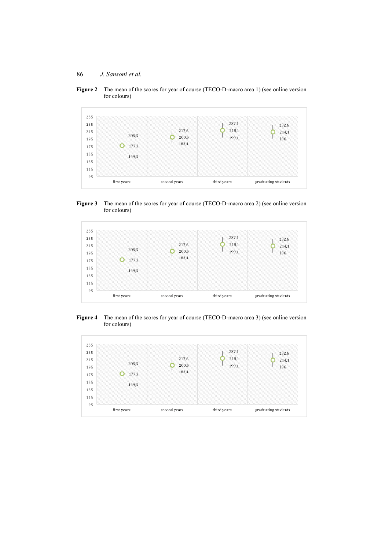**Figure 2** The mean of the scores for year of course (TECO-D-macro area 1) (see online version for colours)







**Figure 4** The mean of the scores for year of course (TECO-D-macro area 3) (see online version for colours)

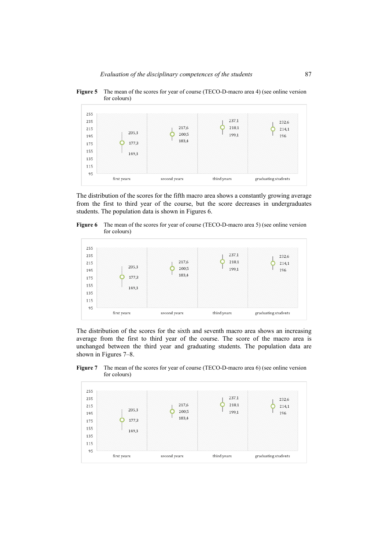



The distribution of the scores for the fifth macro area shows a constantly growing average from the first to third year of the course, but the score decreases in undergraduates students. The population data is shown in Figures 6.

**Figure 6** The mean of the scores for year of course (TECO-D-macro area 5) (see online version for colours)



The distribution of the scores for the sixth and seventh macro area shows an increasing average from the first to third year of the course. The score of the macro area is unchanged between the third year and graduating students. The population data are shown in Figures 7–8.

**Figure 7** The mean of the scores for year of course (TECO-D-macro area 6) (see online version for colours)

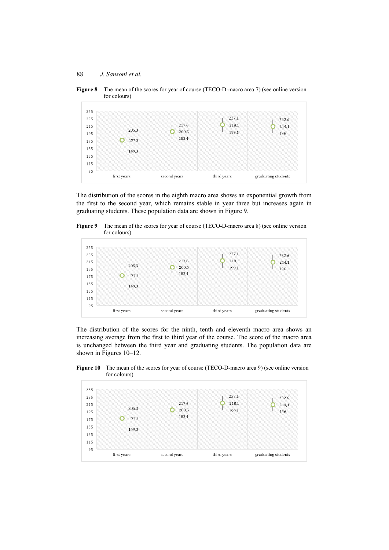



The distribution of the scores in the eighth macro area shows an exponential growth from the first to the second year, which remains stable in year three but increases again in graduating students. These population data are shown in Figure 9.





The distribution of the scores for the ninth, tenth and eleventh macro area shows an increasing average from the first to third year of the course. The score of the macro area is unchanged between the third year and graduating students. The population data are shown in Figures 10–12.



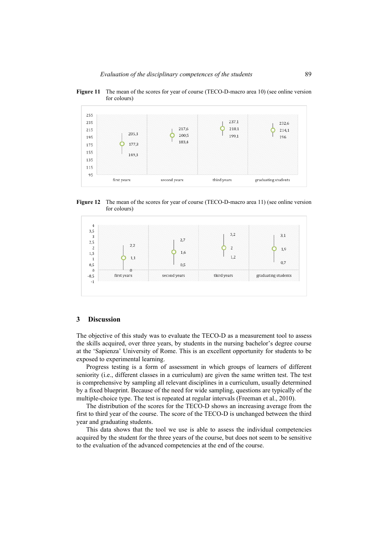



**Figure 12** The mean of the scores for year of course (TECO-D-macro area 11) (see online version for colours)



## **3 Discussion**

The objective of this study was to evaluate the TECO-D as a measurement tool to assess the skills acquired, over three years, by students in the nursing bachelor's degree course at the 'Sapienza' University of Rome. This is an excellent opportunity for students to be exposed to experimental learning.

Progress testing is a form of assessment in which groups of learners of different seniority (i.e., different classes in a curriculum) are given the same written test. The test is comprehensive by sampling all relevant disciplines in a curriculum, usually determined by a fixed blueprint. Because of the need for wide sampling, questions are typically of the multiple-choice type. The test is repeated at regular intervals (Freeman et al., 2010).

The distribution of the scores for the TECO-D shows an increasing average from the first to third year of the course. The score of the TECO-D is unchanged between the third year and graduating students.

This data shows that the tool we use is able to assess the individual competencies acquired by the student for the three years of the course, but does not seem to be sensitive to the evaluation of the advanced competencies at the end of the course.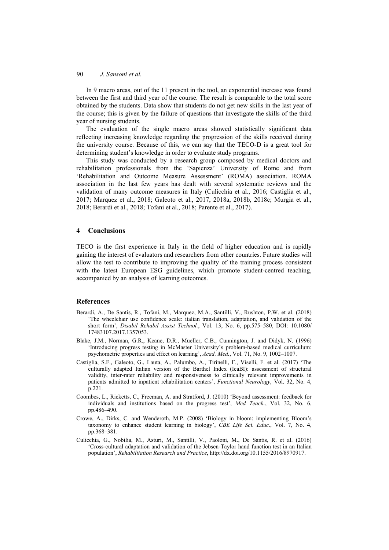In 9 macro areas, out of the 11 present in the tool, an exponential increase was found between the first and third year of the course. The result is comparable to the total score obtained by the students. Data show that students do not get new skills in the last year of the course; this is given by the failure of questions that investigate the skills of the third year of nursing students.

The evaluation of the single macro areas showed statistically significant data reflecting increasing knowledge regarding the progression of the skills received during the university course. Because of this, we can say that the TECO-D is a great tool for determining student's knowledge in order to evaluate study programs.

This study was conducted by a research group composed by medical doctors and rehabilitation professionals from the 'Sapienza' University of Rome and from 'Rehabilitation and Outcome Measure Assessment' (ROMA) association. ROMA association in the last few years has dealt with several systematic reviews and the validation of many outcome measures in Italy (Culicchia et al., 2016; Castiglia et al., 2017; Marquez et al., 2018; Galeoto et al., 2017, 2018a, 2018b, 2018c; Murgia et al., 2018; Berardi et al., 2018; Tofani et al., 2018; Parente et al., 2017).

# **4 Conclusions**

TECO is the first experience in Italy in the field of higher education and is rapidly gaining the interest of evaluators and researchers from other countries. Future studies will allow the test to contribute to improving the quality of the training process consistent with the latest European ESG guidelines, which promote student-centred teaching, accompanied by an analysis of learning outcomes.

# **References**

- Berardi, A., De Santis, R., Tofani, M., Marquez, M.A., Santilli, V., Rushton, P.W. et al. (2018) 'The wheelchair use confidence scale: italian translation, adaptation, and validation of the short form', *Disabil Rehabil Assist Technol.*, Vol. 13, No. 6, pp.575–580, DOI: 10.1080/ 17483107.2017.1357053.
- Blake, J.M., Norman, G.R., Keane, D.R., Mueller, C.B., Cunnington, J. and Didyk, N. (1996) 'Introducing progress testing in McMaster University's problem-based medical curriculum: psychometric properties and effect on learning', *Acad. Med.*, Vol. 71, No. 9, 1002–1007.
- Castiglia, S.F., Galeoto, G., Lauta, A., Palumbo, A., Tirinelli, F., Viselli, F. et al. (2017) 'The culturally adapted Italian version of the Barthel Index (IcaBI): assessment of structural validity, inter-rater reliability and responsiveness to clinically relevant improvements in patients admitted to inpatient rehabilitation centers', *Functional Neurology*, Vol. 32, No. 4, p.221.
- Coombes, L., Ricketts, C., Freeman, A. and Stratford, J. (2010) 'Beyond assessment: feedback for individuals and institutions based on the progress test', *Med Teach.*, Vol. 32, No. 6, pp.486–490.
- Crowe, A., Dirks, C. and Wenderoth, M.P. (2008) 'Biology in bloom: implementing Bloom's taxonomy to enhance student learning in biology', *CBE Life Sci. Educ*., Vol. 7, No. 4, pp.368–381.
- Culicchia, G., Nobilia, M., Asturi, M., Santilli, V., Paoloni, M., De Santis, R. et al. (2016) 'Cross-cultural adaptation and validation of the Jebsen-Taylor hand function test in an Italian population', *Rehabilitation Research and Practice*, http://dx.doi.org/10.1155/2016/8970917.